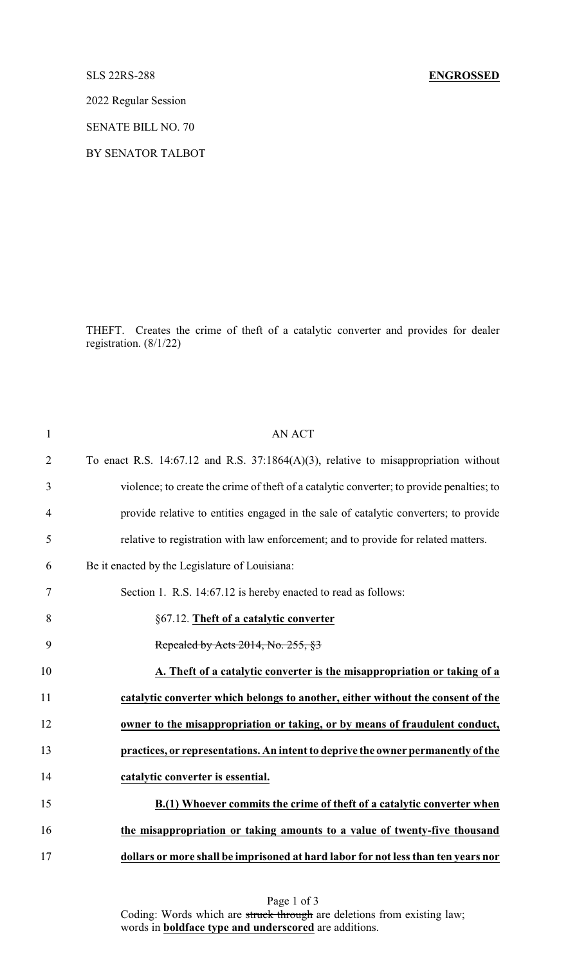## SLS 22RS-288 **ENGROSSED**

2022 Regular Session

SENATE BILL NO. 70

BY SENATOR TALBOT

THEFT. Creates the crime of theft of a catalytic converter and provides for dealer registration. (8/1/22)

| $\mathbf{1}$   | <b>AN ACT</b>                                                                             |
|----------------|-------------------------------------------------------------------------------------------|
| $\overline{2}$ | To enact R.S. 14:67.12 and R.S. 37:1864 $(A)(3)$ , relative to misappropriation without   |
| 3              | violence; to create the crime of theft of a catalytic converter; to provide penalties; to |
| $\overline{4}$ | provide relative to entities engaged in the sale of catalytic converters; to provide      |
| 5              | relative to registration with law enforcement; and to provide for related matters.        |
| 6              | Be it enacted by the Legislature of Louisiana:                                            |
| 7              | Section 1. R.S. 14:67.12 is hereby enacted to read as follows:                            |
| 8              | §67.12. Theft of a catalytic converter                                                    |
| 9              | Repealed by Acts 2014, No. 255, §3                                                        |
| 10             | A. Theft of a catalytic converter is the misappropriation or taking of a                  |
| 11             | catalytic converter which belongs to another, either without the consent of the           |
| 12             | owner to the misappropriation or taking, or by means of fraudulent conduct,               |
| 13             | practices, or representations. An intent to deprive the owner permanently of the          |
| 14             | catalytic converter is essential.                                                         |
| 15             | B.(1) Whoever commits the crime of theft of a catalytic converter when                    |
| 16             | the misappropriation or taking amounts to a value of twenty-five thousand                 |
| 17             | dollars or more shall be imprisoned at hard labor for not less than ten years nor         |

Page 1 of 3 Coding: Words which are struck through are deletions from existing law; words in **boldface type and underscored** are additions.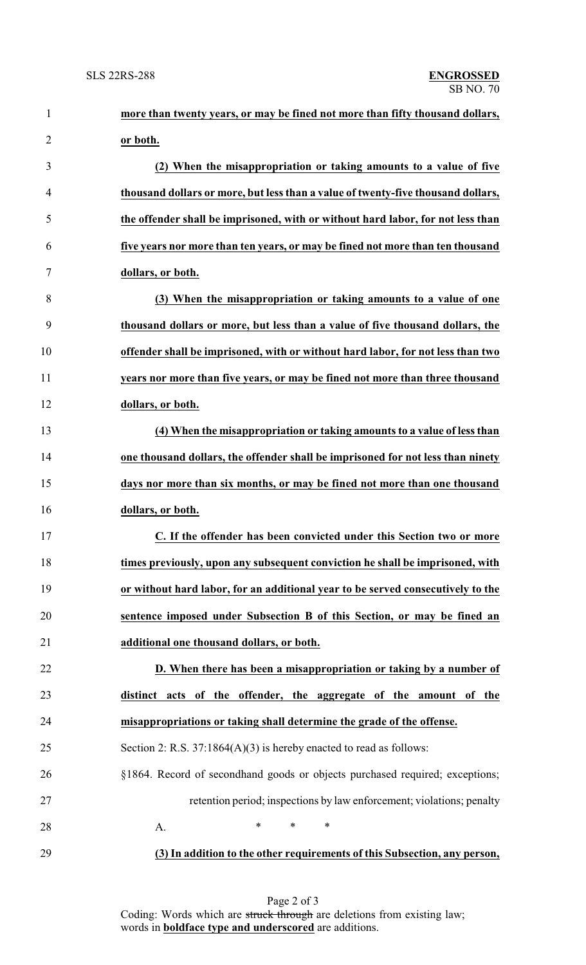| $\mathbf{1}$   | more than twenty years, or may be fined not more than fifty thousand dollars,    |
|----------------|----------------------------------------------------------------------------------|
| $\overline{2}$ | or both.                                                                         |
| 3              | (2) When the misappropriation or taking amounts to a value of five               |
| 4              | thousand dollars or more, but less than a value of twenty-five thousand dollars, |
| 5              | the offender shall be imprisoned, with or without hard labor, for not less than  |
| 6              | five years nor more than ten years, or may be fined not more than ten thousand   |
| 7              | dollars, or both.                                                                |
| 8              | (3) When the misappropriation or taking amounts to a value of one                |
| 9              | thousand dollars or more, but less than a value of five thousand dollars, the    |
| 10             | offender shall be imprisoned, with or without hard labor, for not less than two  |
| 11             | years nor more than five years, or may be fined not more than three thousand     |
| 12             | dollars, or both.                                                                |
| 13             | (4) When the misappropriation or taking amounts to a value of less than          |
| 14             | one thousand dollars, the offender shall be imprisoned for not less than ninety  |
| 15             | days nor more than six months, or may be fined not more than one thousand        |
| 16             | dollars, or both.                                                                |
| 17             | C. If the offender has been convicted under this Section two or more             |
| 18             | times previously, upon any subsequent conviction he shall be imprisoned, with    |
| 19             | or without hard labor, for an additional year to be served consecutively to the  |
| 20             | sentence imposed under Subsection B of this Section, or may be fined an          |
| 21             | additional one thousand dollars, or both.                                        |
| 22             | D. When there has been a misappropriation or taking by a number of               |
| 23             | distinct acts of the offender, the aggregate of the amount of the                |
| 24             | misappropriations or taking shall determine the grade of the offense.            |
| 25             | Section 2: R.S. $37:1864(A)(3)$ is hereby enacted to read as follows:            |
| 26             | §1864. Record of secondhand goods or objects purchased required; exceptions;     |
| 27             | retention period; inspections by law enforcement; violations; penalty            |
| 28             | $\ast$<br>$\ast$<br>$\ast$<br>A.                                                 |
| 29             | (3) In addition to the other requirements of this Subsection, any person,        |

Page 2 of 3 Coding: Words which are struck through are deletions from existing law; words in **boldface type and underscored** are additions.